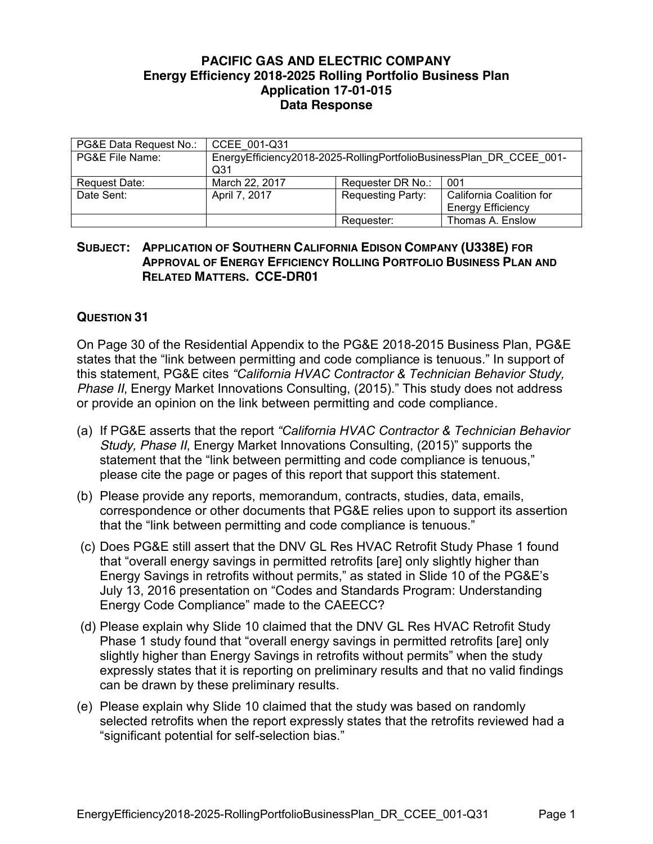#### **PACIFIC GAS AND ELECTRIC COMPANY Energy Efficiency 2018-2025 Rolling Portfolio Business Plan Application 17-01-015 Data Response**

| PG&E Data Request No.: | CCEE 001-Q31                                                               |                          |                                                      |
|------------------------|----------------------------------------------------------------------------|--------------------------|------------------------------------------------------|
| PG&E File Name:        | EnergyEfficiency2018-2025-RollingPortfolioBusinessPlan DR CCEE 001-<br>Q31 |                          |                                                      |
| Request Date:          | March 22, 2017                                                             | Requester DR No.:        | 001                                                  |
| Date Sent:             | April 7, 2017                                                              | <b>Requesting Party:</b> | California Coalition for<br><b>Energy Efficiency</b> |
|                        |                                                                            | Requester:               | Thomas A. Enslow                                     |

#### **SUBJECT: APPLICATION OF SOUTHERN CALIFORNIA EDISON COMPANY (U338E) FOR APPROVAL OF ENERGY EFFICIENCY ROLLING PORTFOLIO BUSINESS PLAN AND RELATED MATTERS. CCE-DR01**

## **QUESTION 31**

On Page 30 of the Residential Appendix to the PG&E 2018-2015 Business Plan, PG&E states that the "link between permitting and code compliance is tenuous." In support of this statement, PG&E cites *"California HVAC Contractor & Technician Behavior Study, Phase II*, Energy Market Innovations Consulting, (2015)." This study does not address or provide an opinion on the link between permitting and code compliance.

- (a) If PG&E asserts that the report *"California HVAC Contractor & Technician Behavior Study, Phase II*, Energy Market Innovations Consulting, (2015)" supports the statement that the "link between permitting and code compliance is tenuous," please cite the page or pages of this report that support this statement.
- (b) Please provide any reports, memorandum, contracts, studies, data, emails, correspondence or other documents that PG&E relies upon to support its assertion that the "link between permitting and code compliance is tenuous."
- (c) Does PG&E still assert that the DNV GL Res HVAC Retrofit Study Phase 1 found that "overall energy savings in permitted retrofits [are] only slightly higher than Energy Savings in retrofits without permits," as stated in Slide 10 of the PG&E's July 13, 2016 presentation on "Codes and Standards Program: Understanding Energy Code Compliance" made to the CAEECC?
- (d) Please explain why Slide 10 claimed that the DNV GL Res HVAC Retrofit Study Phase 1 study found that "overall energy savings in permitted retrofits [are] only slightly higher than Energy Savings in retrofits without permits" when the study expressly states that it is reporting on preliminary results and that no valid findings can be drawn by these preliminary results.
- (e) Please explain why Slide 10 claimed that the study was based on randomly selected retrofits when the report expressly states that the retrofits reviewed had a "significant potential for self-selection bias."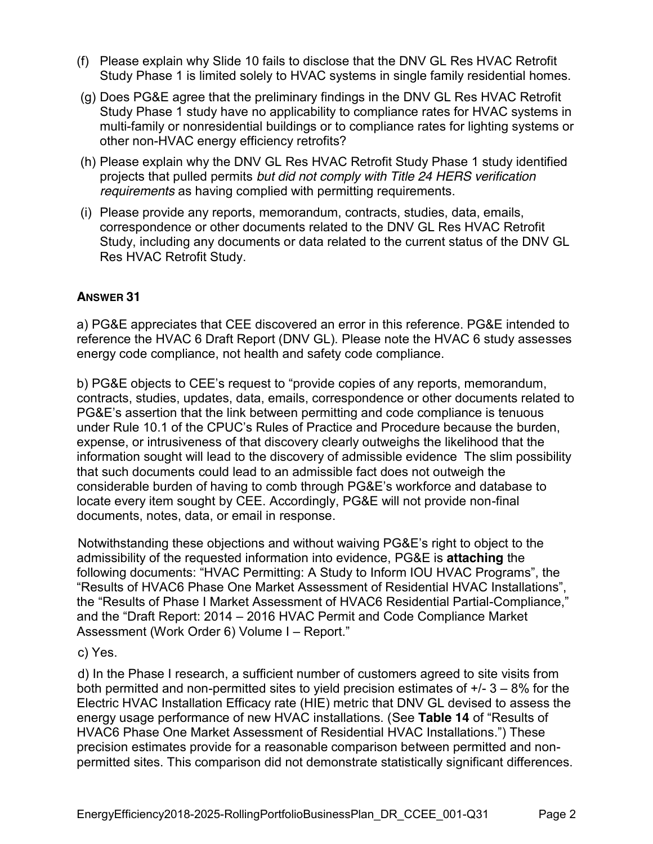- (f) Please explain why Slide 10 fails to disclose that the DNV GL Res HVAC Retrofit Study Phase 1 is limited solely to HVAC systems in single family residential homes.
- (g) Does PG&E agree that the preliminary findings in the DNV GL Res HVAC Retrofit Study Phase 1 study have no applicability to compliance rates for HVAC systems in multi-family or nonresidential buildings or to compliance rates for lighting systems or other non-HVAC energy efficiency retrofits?
- (h) Please explain why the DNV GL Res HVAC Retrofit Study Phase 1 study identified projects that pulled permits *but did not comply with Title 24 HERS verification requirements* as having complied with permitting requirements.
- (i) Please provide any reports, memorandum, contracts, studies, data, emails, correspondence or other documents related to the DNV GL Res HVAC Retrofit Study, including any documents or data related to the current status of the DNV GL Res HVAC Retrofit Study.

# **ANSWER 31**

a) PG&E appreciates that CEE discovered an error in this reference. PG&E intended to reference the HVAC 6 Draft Report (DNV GL). Please note the HVAC 6 study assesses energy code compliance, not health and safety code compliance.

b) PG&E objects to CEE's request to "provide copies of any reports, memorandum, contracts, studies, updates, data, emails, correspondence or other documents related to PG&E's assertion that the link between permitting and code compliance is tenuous under Rule 10.1 of the CPUC's Rules of Practice and Procedure because the burden, expense, or intrusiveness of that discovery clearly outweighs the likelihood that the information sought will lead to the discovery of admissible evidence The slim possibility that such documents could lead to an admissible fact does not outweigh the considerable burden of having to comb through PG&E's workforce and database to locate every item sought by CEE. Accordingly, PG&E will not provide non-final documents, notes, data, or email in response.

Notwithstanding these objections and without waiving PG&E's right to object to the admissibility of the requested information into evidence, PG&E is **attaching** the following documents: "HVAC Permitting: A Study to Inform IOU HVAC Programs", the "Results of HVAC6 Phase One Market Assessment of Residential HVAC Installations", the "Results of Phase I Market Assessment of HVAC6 Residential Partial-Compliance," and the "Draft Report: 2014 – 2016 HVAC Permit and Code Compliance Market Assessment (Work Order 6) Volume I – Report."

## c) Yes.

d) In the Phase I research, a sufficient number of customers agreed to site visits from both permitted and non-permitted sites to yield precision estimates of  $+/- 3 - 8\%$  for the Electric HVAC Installation Efficacy rate (HIE) metric that DNV GL devised to assess the energy usage performance of new HVAC installations. (See **Table 14** of "Results of HVAC6 Phase One Market Assessment of Residential HVAC Installations.") These precision estimates provide for a reasonable comparison between permitted and nonpermitted sites. This comparison did not demonstrate statistically significant differences.